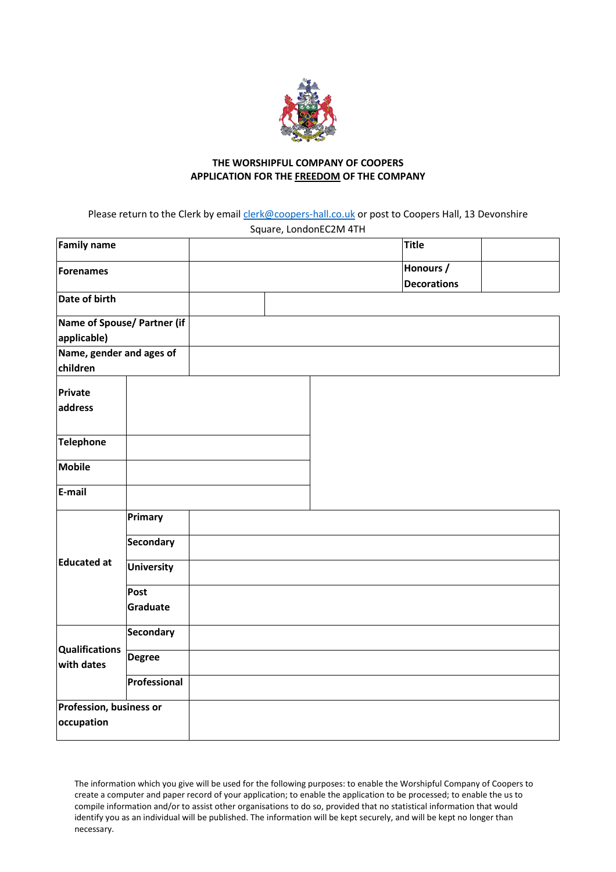

## **THE WORSHIPFUL COMPANY OF COOPERS APPLICATION FOR THE FREEDOM OF THE COMPANY**

Please return to the Clerk by email [clerk@coopers-hall.co.uk](mailto:clerk@coopers-hall.co.uk) or post to Coopers Hall, 13 Devonshire Square, LondonEC2M 4TH

| Family name                                |                   |  | <b>Title</b>                    |  |
|--------------------------------------------|-------------------|--|---------------------------------|--|
| Forenames                                  |                   |  | Honours /<br><b>Decorations</b> |  |
| Date of birth                              |                   |  |                                 |  |
| Name of Spouse/ Partner (if<br>applicable) |                   |  |                                 |  |
| Name, gender and ages of<br>children       |                   |  |                                 |  |
| Private<br>address                         |                   |  |                                 |  |
| <b>Telephone</b>                           |                   |  |                                 |  |
| <b>Mobile</b>                              |                   |  |                                 |  |
| E-mail                                     |                   |  |                                 |  |
| <b>Educated at</b>                         | Primary           |  |                                 |  |
|                                            | <b>Secondary</b>  |  |                                 |  |
|                                            | <b>University</b> |  |                                 |  |
|                                            | Post<br>Graduate  |  |                                 |  |
| <b>Qualifications</b><br>with dates        | Secondary         |  |                                 |  |
|                                            | <b>Degree</b>     |  |                                 |  |
|                                            | Professional      |  |                                 |  |
| Profession, business or<br>occupation      |                   |  |                                 |  |

The information which you give will be used for the following purposes: to enable the Worshipful Company of Coopers to create a computer and paper record of your application; to enable the application to be processed; to enable the us to compile information and/or to assist other organisations to do so, provided that no statistical information that would identify you as an individual will be published. The information will be kept securely, and will be kept no longer than necessary.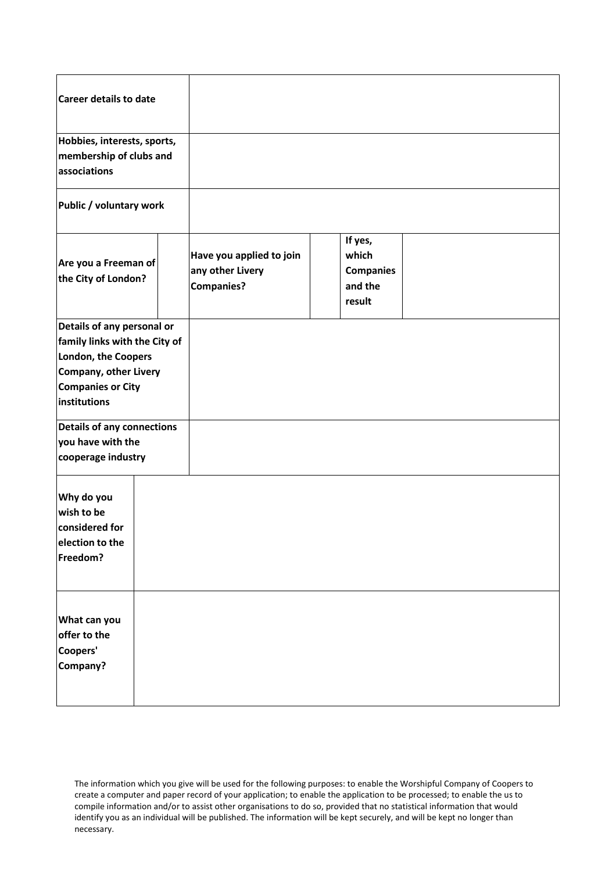| <b>Career details to date</b>                                                                                                                                  |                                                                   |                                                           |
|----------------------------------------------------------------------------------------------------------------------------------------------------------------|-------------------------------------------------------------------|-----------------------------------------------------------|
| Hobbies, interests, sports,<br>membership of clubs and<br>associations                                                                                         |                                                                   |                                                           |
| Public / voluntary work                                                                                                                                        |                                                                   |                                                           |
| Are you a Freeman of<br>the City of London?                                                                                                                    | Have you applied to join<br>any other Livery<br><b>Companies?</b> | If yes,<br>which<br><b>Companies</b><br>and the<br>result |
| Details of any personal or<br>family links with the City of<br>London, the Coopers<br><b>Company, other Livery</b><br><b>Companies or City</b><br>institutions |                                                                   |                                                           |
| <b>Details of any connections</b><br>you have with the<br>cooperage industry                                                                                   |                                                                   |                                                           |
| Why do you<br>wish to be<br>considered for<br>election to the<br>Freedom?                                                                                      |                                                                   |                                                           |
| What can you<br>offer to the<br>Coopers'<br>Company?                                                                                                           |                                                                   |                                                           |

The information which you give will be used for the following purposes: to enable the Worshipful Company of Coopers to create a computer and paper record of your application; to enable the application to be processed; to enable the us to compile information and/or to assist other organisations to do so, provided that no statistical information that would identify you as an individual will be published. The information will be kept securely, and will be kept no longer than necessary.